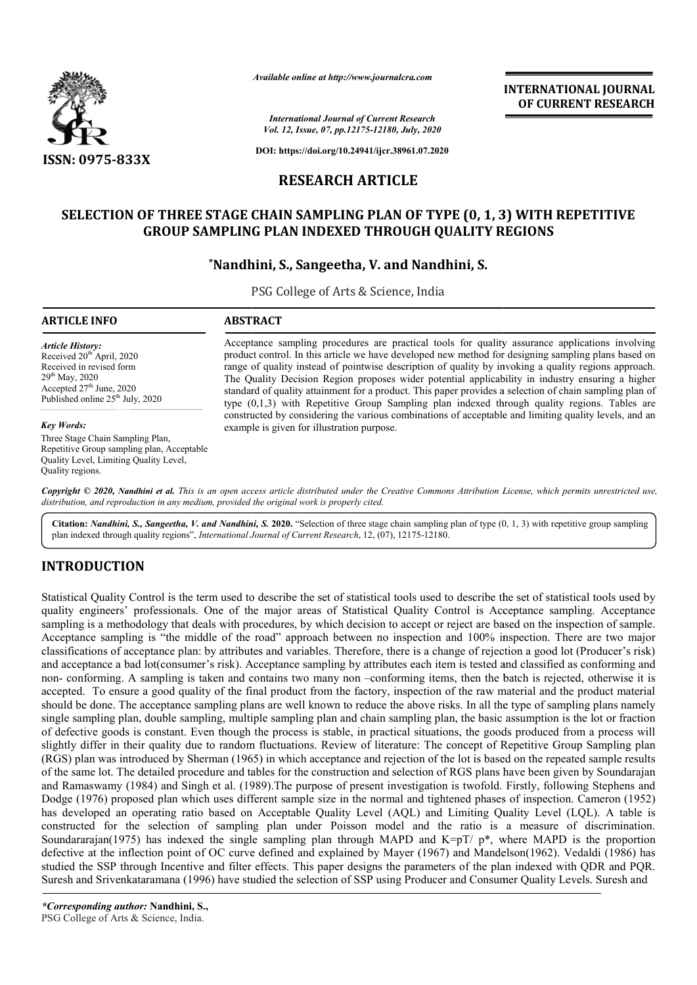

*Available online at http://www.journalcra.com*

**INTERNATIONAL JOURNAL OF CURRENT RESEARCH**

*International Journal of Current Research Vol. 12, Issue, 07, pp.12175-12180, July, 2020*

**DOI: https://doi.org/10.24941/ijcr.38961.07.2020**

## **RESEARCH ARTICLE**

## **SELECTION OF THREE STAGE CHAIN SAMPLING PLAN OF TYPE (0, 1, 3) WITH REPETITIVE DF THREE STAGE CHAIN SAMPLING PLAN OF TYPE (0, 1, 3) WITH<br>GROUP SAMPLING PLAN INDEXED THROUGH QUALITY REGIONS**

# **\*Nandhini, S. Nandhini, S., Sangeetha, V. and Nandhini, S.**

PSG College of Arts & Science, India

| ARTICLE INFO                                                                                                                                                                                      | <b>ABSTRACT</b>                                                                                                                                                                                                                                                                                                                                                                                                                                                                                                                                                                                                                 |
|---------------------------------------------------------------------------------------------------------------------------------------------------------------------------------------------------|---------------------------------------------------------------------------------------------------------------------------------------------------------------------------------------------------------------------------------------------------------------------------------------------------------------------------------------------------------------------------------------------------------------------------------------------------------------------------------------------------------------------------------------------------------------------------------------------------------------------------------|
| Article History:<br>Received 20 <sup>th</sup> April, 2020<br>Received in revised form<br>29 <sup>th</sup> May, 2020<br>Accepted $27th$ June, 2020<br>Published online 25 <sup>th</sup> July, 2020 | Acceptance sampling procedures are practical tools for quality assurance applications involving<br>product control. In this article we have developed new method for designing sampling plans based on<br>range of quality instead of pointwise description of quality by invoking a quality regions approach.<br>The Quality Decision Region proposes wider potential applicability in industry ensuring a higher<br>standard of quality attainment for a product. This paper provides a selection of chain sampling plan of<br>type $(0,1,3)$ with Repetitive Group Sampling plan indexed through quality regions. Tables are |
|                                                                                                                                                                                                   | constructed by considering the various combinations of acceptable and limiting quality levels, and an                                                                                                                                                                                                                                                                                                                                                                                                                                                                                                                           |

example is given for illustration purpose.

#### *Key Words:*

Three Stage Chain Sampling Plan, Repetitive Group sampling plan, Acceptable Quality Level, Limiting Quality Level, Quality regions.

Copyright © 2020, Nandhini et al. This is an open access article distributed under the Creative Commons Attribution License, which permits unrestricted use, *distribution, and reproduction in any medium, provided the original work is properly cited.*

Citation: *Nandhini, S., Sangeetha, V. and Nandhini, S.* 2020. "Selection of three stage chain sampling plan of type (0, 1, 3) with repetitive group sampling plan indexed through quality regions", *International Journal of Current Research*, 12, (07), 12175-12180.

## **INTRODUCTION**

Statistical Quality Control is the term used to describe the set of statistical tools used to describe the set of statistical tools used by quality engineers' professionals. One of the major areas of Statistical Quality Control is Acceptance sampling. Acceptance sampling is a methodology that deals with procedures, by which decision to accept or reject are based on the inspection of sample. Acceptance sampling is "the middle of the road" approach between no inspection and 100% inspection. There are two major classifications of acceptance plan: by attributes and variables. Therefore, there is a change of rejection a good lot (Producer's risk) and acceptance a bad lot(consumer's risk). Acceptance sampling by attributes each item is tested and classified as conforming and non- conforming. A sampling is taken and contains two many non –conforming items, then the batch is rejected, otherwise it is non- conforming. A sampling is taken and contains two many non -conforming items, then the batch is rejected, otherwise it is accepted. To ensure a good quality of the final product from the factory, inspection of the raw should be done. The acceptance sampling plans are well known to reduce the above risks. In all the type of sampling plans namely single sampling plan, double sampling, multiple sampling plan and chain sampling plan, the basic assumption is the lot or fraction of defective goods is constant. Even though the process is stable, in practical situations, the goods produced from a process will slightly differ in their quality due to random fluctuations. Review of literature: The concept of Repetitive Group Sampling plan slightly differ in their quality due to random fluctuations. Review of literature: The concept of Repetitive Group Sampling plan<br>(RGS) plan was introduced by Sherman (1965) in which acceptance and rejection of the lot is b of the same lot. The detailed procedure and tables for the construction and selection of RGS plans have been given by Soundarajan and Ramaswamy (1984) and Singh et al. (1989).The purpose of present investigation is twofold. Firstly, following Stephens and Dodge (1976) proposed plan which uses different sample size in the normal and tightened phases of inspection. has developed an operating ratio based on Acceptable Quality Level (AQL) and Limiting Quality Level (LQL). A table is has developed an operating ratio based on Acceptable Quality Level (AQL) and Limiting Quality Level (LQL). A table is<br>constructed for the selection of sampling plan under Poisson model and the ratio is a measure of discrim Soundararajan(1975) has indexed the single sampling plan through MAPD and  $K=pT/p^*$ , where MAPD is the proportion defective at the inflection point of OC curve defined and explained by Mayer (1967) and Mandelson(1962). Vedaldi (1986) has studied the SSP through Incentive and filter effects. This paper designs the parameters of the plan indexed with QDR and PQR. Suresh and Srivenkataramana (1996) have studied the selection of SSP using Producer and Consumer Quality Levels. Suresh and of the same lot. The detailed procedure and tables for the construction and selection of RGS plans have been given by Soundarajan<br>and Ramaswamy (1984) and Singh et al. (1989).The purpose of present investigation is twofold **EXERCISE AND MAY THE SURESH SET INTERNATION CONTRACTS IN A SURE AND MAY THE SURFACT AND THE SURFACT AND THE SURFACT AND MAY THE SURFACT AND THE SURFACT AND THE SURFACT AND THE SURFACT AND THE SURFACT AND MAY THE SURFACT**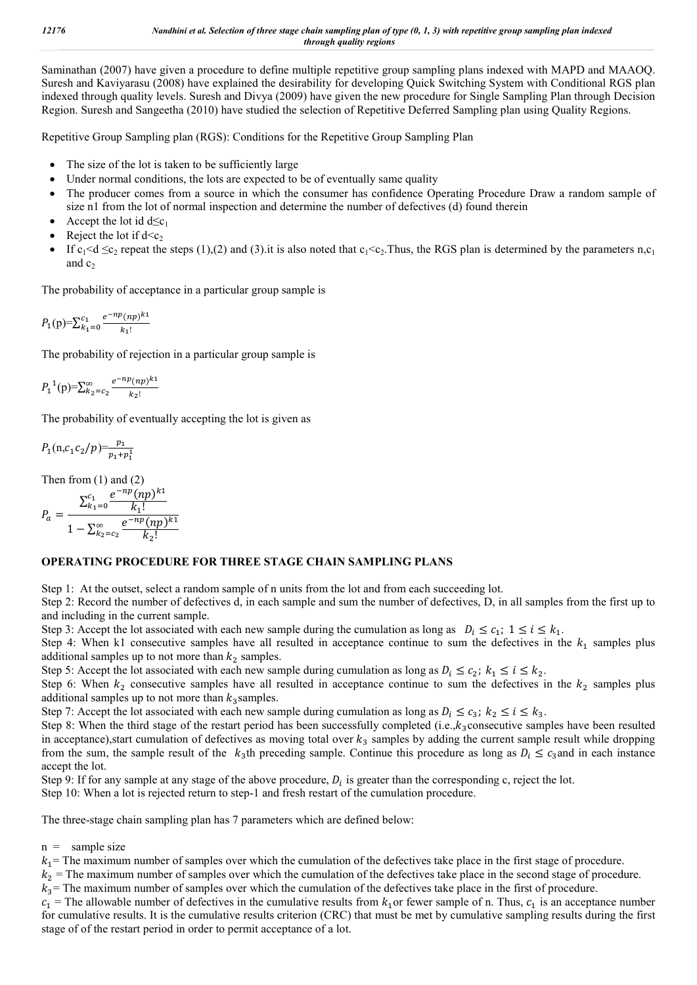Saminathan (2007) have given a procedure to define multiple repetitive group sampling plans indexed with MAPD and MAAOQ. Suresh and Kaviyarasu (2008) have explained the desirability for developing Quick Switching System with Conditional RGS plan indexed through quality levels. Suresh and Divya (2009) have given the new procedure for Single Sampling Plan through Decision Region. Suresh and Sangeetha (2010) have studied the selection of Repetitive Deferred Sampling plan using Quality Regions.

Repetitive Group Sampling plan (RGS): Conditions for the Repetitive Group Sampling Plan

- The size of the lot is taken to be sufficiently large
- Under normal conditions, the lots are expected to be of eventually same quality
- The producer comes from a source in which the consumer has confidence Operating Procedure Draw a random sample of size n1 from the lot of normal inspection and determine the number of defectives (d) found therein
- Accept the lot id  $d \leq c_1$
- Reject the lot if  $d < c_2$
- If  $c_1 < d \leq c_2$  repeat the steps (1),(2) and (3).it is also noted that  $c_1 < c_2$ . Thus, the RGS plan is determined by the parameters n,c<sub>1</sub> and  $c_2$

The probability of acceptance in a particular group sample is

$$
P_1(p) = \sum_{k_1=0}^{c_1} \frac{e^{-np}(np)^{k_1}}{k_1!}
$$

The probability of rejection in a particular group sample is

$$
P_1^{-1}(p) = \sum_{k_2 = c_2}^{\infty} \frac{e^{-np}(np)^{k_1}}{k_2!}
$$

The probability of eventually accepting the lot is given as

$$
P_1(n, c_1 c_2/p) = \frac{p_1}{p_1 + p_1^1}
$$

Then from  $(1)$  and  $(2)$ 

$$
P_a = \frac{\sum_{k_1=0}^{c_1} \frac{e^{-np}(np)^{k_1}}{k_1!}}{1 - \sum_{k_2=c_2}^{\infty} \frac{e^{-np}(np)^{k_1}}{k_2!}}
$$

#### **OPERATING PROCEDURE FOR THREE STAGE CHAIN SAMPLING PLANS**

Step 1: At the outset, select a random sample of n units from the lot and from each succeeding lot.

Step 2: Record the number of defectives d, in each sample and sum the number of defectives, D, in all samples from the first up to and including in the current sample.

Step 3: Accept the lot associated with each new sample during the cumulation as long as  $D_i \le c_1$ ;  $1 \le i \le k_1$ .

Step 4: When k1 consecutive samples have all resulted in acceptance continue to sum the defectives in the  $k_1$  samples plus additional samples up to not more than  $k_2$  samples.

Step 5: Accept the lot associated with each new sample during cumulation as long as  $D_i \le c_2$ ;  $k_1 \le i \le k_2$ .

Step 6: When  $k_2$  consecutive samples have all resulted in acceptance continue to sum the defectives in the  $k_2$  samples plus additional samples up to not more than  $k_3$  samples.

Step 7: Accept the lot associated with each new sample during cumulation as long as  $D_i \le c_3$ ;  $k_2 \le i \le k_3$ .

Step 8: When the third stage of the restart period has been successfully completed (i.e., $k_3$ consecutive samples have been resulted in acceptance), start cumulation of defectives as moving total over  $k_3$  samples by adding the current sample result while dropping from the sum, the sample result of the  $k_3$ th preceding sample. Continue this procedure as long as  $D_i \leq c_3$  and in each instance accept the lot.

Step 9: If for any sample at any stage of the above procedure,  $D_i$  is greater than the corresponding c, reject the lot.

Step 10: When a lot is rejected return to step-1 and fresh restart of the cumulation procedure.

The three-stage chain sampling plan has 7 parameters which are defined below:

 $n =$  sample size

 $k_1$ = The maximum number of samples over which the cumulation of the defectives take place in the first stage of procedure.

 $k_2$  = The maximum number of samples over which the cumulation of the defectives take place in the second stage of procedure.

 $k_3$  The maximum number of samples over which the cumulation of the defectives take place in the first of procedure.

 $c_1$  = The allowable number of defectives in the cumulative results from  $k_1$  or fewer sample of n. Thus,  $c_1$  is an acceptance number for cumulative results. It is the cumulative results criterion (CRC) that must be met by cumulative sampling results during the first stage of of the restart period in order to permit acceptance of a lot.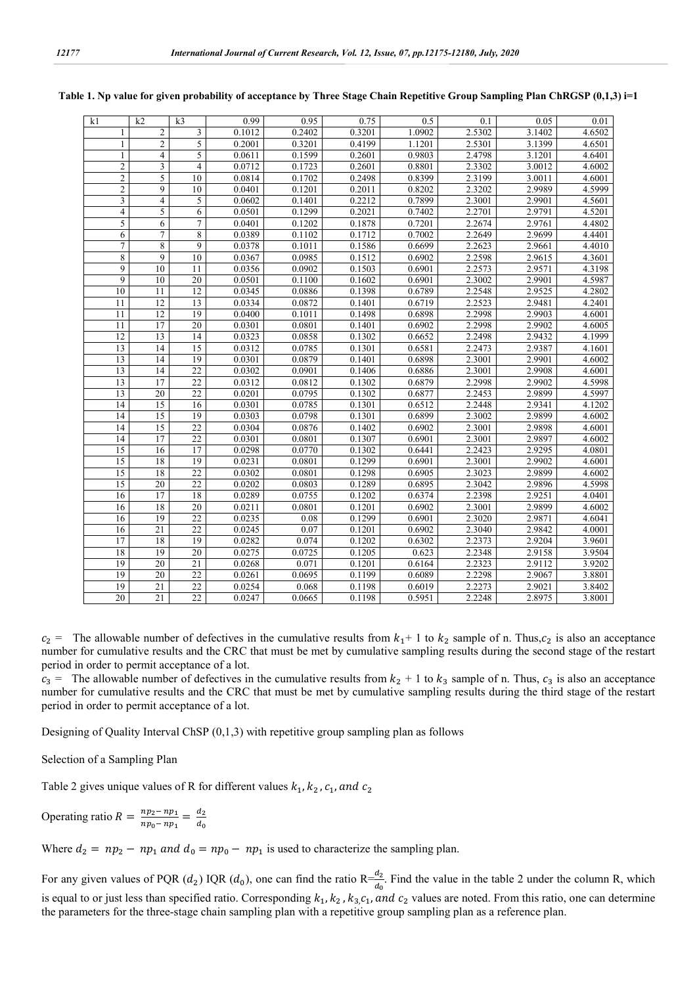| k1               | k2              | k <sub>3</sub>  | 0.99   | 0.95   | 0.75   | 0.5    | 0.1    | 0.05   | 0.01   |
|------------------|-----------------|-----------------|--------|--------|--------|--------|--------|--------|--------|
| 1                | $\overline{c}$  | 3               | 0.1012 | 0.2402 | 0.3201 | 1.0902 | 2.5302 | 3.1402 | 4.6502 |
| 1                | $\overline{2}$  | 5               | 0.2001 | 0.3201 | 0.4199 | 1.1201 | 2.5301 | 3.1399 | 4.6501 |
| $\mathbf{1}$     | $\overline{4}$  | 5               | 0.0611 | 0.1599 | 0.2601 | 0.9803 | 2.4798 | 3.1201 | 4.6401 |
| $\overline{2}$   | $\overline{3}$  | $\overline{4}$  | 0.0712 | 0.1723 | 0.2601 | 0.8801 | 2.3302 | 3.0012 | 4.6002 |
| $\mathbf{2}$     | 5               | 10              | 0.0814 | 0.1702 | 0.2498 | 0.8399 | 2.3199 | 3.0011 | 4.6001 |
| $\overline{2}$   | $\overline{9}$  | 10              | 0.0401 | 0.1201 | 0.2011 | 0.8202 | 2.3202 | 2.9989 | 4.5999 |
| 3                | $\overline{4}$  | 5               | 0.0602 | 0.1401 | 0.2212 | 0.7899 | 2.3001 | 2.9901 | 4.5601 |
| 4                | 5               | 6               | 0.0501 | 0.1299 | 0.2021 | 0.7402 | 2.2701 | 2.9791 | 4.5201 |
| 5                | 6               | $\tau$          | 0.0401 | 0.1202 | 0.1878 | 0.7201 | 2.2674 | 2.9761 | 4.4802 |
| 6                | $\tau$          | 8               | 0.0389 | 0.1102 | 0.1712 | 0.7002 | 2.2649 | 2.9699 | 4.4401 |
| $\boldsymbol{7}$ | $\overline{8}$  | 9               | 0.0378 | 0.1011 | 0.1586 | 0.6699 | 2.2623 | 2.9661 | 4.4010 |
| $\overline{8}$   | $\overline{9}$  | 10              | 0.0367 | 0.0985 | 0.1512 | 0.6902 | 2.2598 | 2.9615 | 4.3601 |
| 9                | 10              | 11              | 0.0356 | 0.0902 | 0.1503 | 0.6901 | 2.2573 | 2.9571 | 4.3198 |
| $\overline{9}$   | 10              | 20              | 0.0501 | 0.1100 | 0.1602 | 0.6901 | 2.3002 | 2.9901 | 4.5987 |
| $\overline{10}$  | $\overline{11}$ | $\overline{12}$ | 0.0345 | 0.0886 | 0.1398 | 0.6789 | 2.2548 | 2.9525 | 4.2802 |
| 11               | 12              | 13              | 0.0334 | 0.0872 | 0.1401 | 0.6719 | 2.2523 | 2.9481 | 4.2401 |
| 11               | $\overline{12}$ | 19              | 0.0400 | 0.1011 | 0.1498 | 0.6898 | 2.2998 | 2.9903 | 4.6001 |
| 11               | 17              | 20              | 0.0301 | 0.0801 | 0.1401 | 0.6902 | 2.2998 | 2.9902 | 4.6005 |
| 12               | 13              | 14              | 0.0323 | 0.0858 | 0.1302 | 0.6652 | 2.2498 | 2.9432 | 4.1999 |
| 13               | 14              | 15              | 0.0312 | 0.0785 | 0.1301 | 0.6581 | 2.2473 | 2.9387 | 4.1601 |
| $\overline{13}$  | 14              | 19              | 0.0301 | 0.0879 | 0.1401 | 0.6898 | 2.3001 | 2.9901 | 4.6002 |
| 13               | 14              | $\overline{22}$ | 0.0302 | 0.0901 | 0.1406 | 0.6886 | 2.3001 | 2.9908 | 4.6001 |
| $\overline{13}$  | 17              | 22              | 0.0312 | 0.0812 | 0.1302 | 0.6879 | 2.2998 | 2.9902 | 4.5998 |
| $\overline{13}$  | 20              | 22              | 0.0201 | 0.0795 | 0.1302 | 0.6877 | 2.2453 | 2.9899 | 4.5997 |
| $\overline{14}$  | $\overline{15}$ | $\overline{16}$ | 0.0301 | 0.0785 | 0.1301 | 0.6512 | 2.2448 | 2.9341 | 4.1202 |
| 14               | 15              | 19              | 0.0303 | 0.0798 | 0.1301 | 0.6899 | 2.3002 | 2.9899 | 4.6002 |
| 14               | 15              | 22              | 0.0304 | 0.0876 | 0.1402 | 0.6902 | 2.3001 | 2.9898 | 4.6001 |
| 14               | 17              | $\overline{22}$ | 0.0301 | 0.0801 | 0.1307 | 0.6901 | 2.3001 | 2.9897 | 4.6002 |
| $\overline{15}$  | 16              | $\overline{17}$ | 0.0298 | 0.0770 | 0.1302 | 0.6441 | 2.2423 | 2.9295 | 4.0801 |
| $\overline{15}$  | 18              | 19              | 0.0231 | 0.0801 | 0.1299 | 0.6901 | 2.3001 | 2.9902 | 4.6001 |
| $\overline{15}$  | 18              | $\overline{22}$ | 0.0302 | 0.0801 | 0.1298 | 0.6905 | 2.3023 | 2.9899 | 4.6002 |
| $\overline{15}$  | $\overline{20}$ | $\overline{22}$ | 0.0202 | 0.0803 | 0.1289 | 0.6895 | 2.3042 | 2.9896 | 4.5998 |
| 16               | 17              | 18              | 0.0289 | 0.0755 | 0.1202 | 0.6374 | 2.2398 | 2.9251 | 4.0401 |
| 16               | 18              | 20              | 0.0211 | 0.0801 | 0.1201 | 0.6902 | 2.3001 | 2.9899 | 4.6002 |
| 16               | 19              | 22              | 0.0235 | 0.08   | 0.1299 | 0.6901 | 2.3020 | 2.9871 | 4.6041 |
| 16               | $\overline{21}$ | $\overline{22}$ | 0.0245 | 0.07   | 0.1201 | 0.6902 | 2.3040 | 2.9842 | 4.0001 |
| 17               | 18              | 19              | 0.0282 | 0.074  | 0.1202 | 0.6302 | 2.2373 | 2.9204 | 3.9601 |
| 18               | 19              | 20              | 0.0275 | 0.0725 | 0.1205 | 0.623  | 2.2348 | 2.9158 | 3.9504 |
| 19               | $\overline{20}$ | $\overline{21}$ | 0.0268 | 0.071  | 0.1201 | 0.6164 | 2.2323 | 2.9112 | 3.9202 |
| 19               | $\overline{20}$ | $\overline{22}$ | 0.0261 | 0.0695 | 0.1199 | 0.6089 | 2.2298 | 2.9067 | 3.8801 |
| 19               | 21              | 22              | 0.0254 | 0.068  | 0.1198 | 0.6019 | 2.2273 | 2.9021 | 3.8402 |
| 20               | $\overline{21}$ | $\overline{22}$ | 0.0247 | 0.0665 | 0.1198 | 0.5951 | 2.2248 | 2.8975 | 3.8001 |

|  |  |  | Table 1. Np value for given probability of acceptance by Three Stage Chain Repetitive Group Sampling Plan ChRGSP (0,1,3) i=1 |  |  |
|--|--|--|------------------------------------------------------------------------------------------------------------------------------|--|--|
|  |  |  |                                                                                                                              |  |  |

 $c_2$  = The allowable number of defectives in the cumulative results from  $k_1$ + 1 to  $k_2$  sample of n. Thus,  $c_2$  is also an acceptance number for cumulative results and the CRC that must be met by cumulative sampling results during the second stage of the restart period in order to permit acceptance of a lot.

 $c_3$  = The allowable number of defectives in the cumulative results from  $k_2 + 1$  to  $k_3$  sample of n. Thus,  $c_3$  is also an acceptance number for cumulative results and the CRC that must be met by cumulative sampling results during the third stage of the restart period in order to permit acceptance of a lot.

Designing of Quality Interval ChSP (0,1,3) with repetitive group sampling plan as follows

Selection of a Sampling Plan

Table 2 gives unique values of R for different values  $k_1, k_2, c_1,$  and  $c_2$ 

Operating ratio  $R = \frac{np_2 - np_1}{np_0 - np_1} = \frac{d_2}{d_0}$ 

Where  $d_2 = np_2 - np_1$  and  $d_0 = np_0 - np_1$  is used to characterize the sampling plan.

For any given values of PQR  $(d_2)$  IQR  $(d_0)$ , one can find the ratio R $\frac{d_2}{d_0}$ . Find the value in the table 2 under the column R, which is equal to or just less than specified ratio. Corresponding  $k_1, k_2, k_3, c_1,$  and  $c_2$  values are noted. From this ratio, one can determine the parameters for the three-stage chain sampling plan with a repetitive group sampling plan as a reference plan.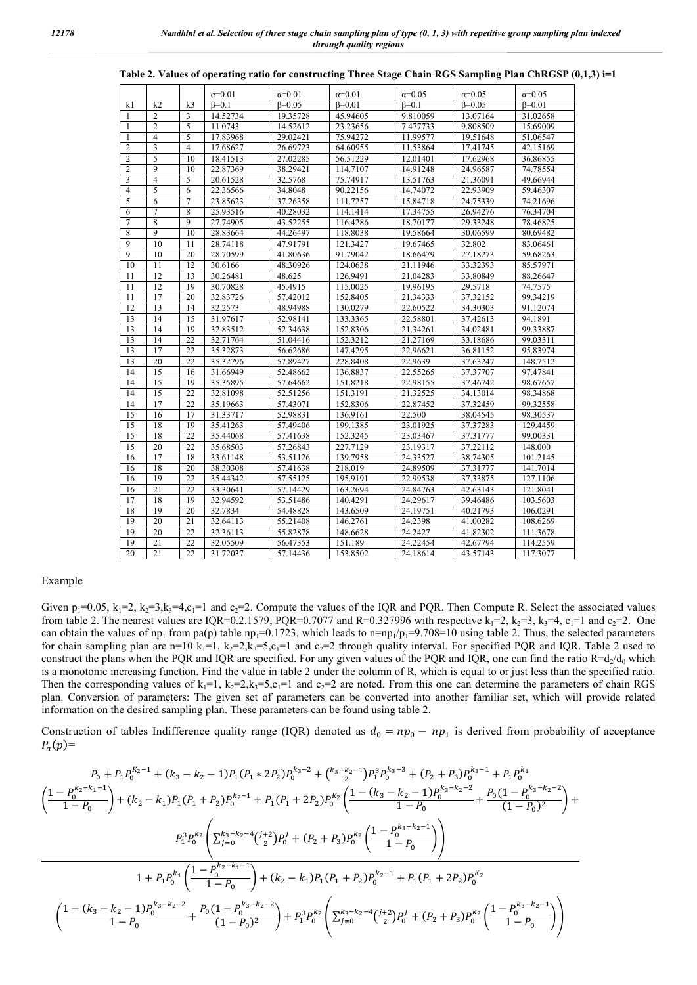|                         |                 |                | $\alpha=0.01$ | $\alpha=0.01$  | $\alpha=0.01$  | $\alpha=0.05$ | $\alpha = 0.05$ | $\alpha=0.05$  |
|-------------------------|-----------------|----------------|---------------|----------------|----------------|---------------|-----------------|----------------|
| k1                      | k2              | k <sub>3</sub> | $B=0.1$       | $\beta = 0.05$ | $\beta = 0.01$ | $B=0.1$       | $\beta = 0.05$  | $\beta = 0.01$ |
| $\mathbf{1}$            | $\overline{2}$  | 3              | 14.52734      | 19.35728       | 45.94605       | 9.810059      | 13.07164        | 31.02658       |
| 1                       | $\overline{2}$  | 5              | 11.0743       | 14.52612       | 23.23656       | 7.477733      | 9.808509        | 15.69009       |
| 1                       | $\overline{4}$  | 5              | 17.83968      | 29.02421       | 75.94272       | 11.99577      | 19.51648        | 51.06547       |
| $\overline{2}$          | $\overline{3}$  | $\overline{4}$ | 17.68627      | 26.69723       | 64.60955       | 11.53864      | 17.41745        | 42.15169       |
| $\mathfrak{2}$          | $\overline{5}$  | 10             | 18.41513      | 27.02285       | 56.51229       | 12.01401      | 17.62968        | 36.86855       |
| $\overline{2}$          | $\overline{9}$  | 10             | 22.87369      | 38.29421       | 114.7107       | 14.91248      | 24.96587        | 74.78554       |
| $\overline{\mathbf{3}}$ | $\overline{4}$  | 5              | 20.61528      | 32.5768        | 75.74917       | 13.51763      | 21.36091        | 49.66944       |
| $\overline{4}$          | $\overline{5}$  | 6              | 22.36566      | 34.8048        | 90.22156       | 14.74072      | 22.93909        | 59.46307       |
| 5                       | 6               | $\overline{7}$ | 23.85623      | 37.26358       | 111.7257       | 15.84718      | 24.75339        | 74.21696       |
| 6                       | 7               | 8              | 25.93516      | 40.28032       | 114.1414       | 17.34755      | 26.94276        | 76.34704       |
| 7                       | $\overline{8}$  | $\overline{9}$ | 27.74905      | 43.52255       | 116.4286       | 18.70177      | 29.33248        | 78.46825       |
| 8                       | 9               | 10             | 28.83664      | 44.26497       | 118.8038       | 19.58664      | 30.06599        | 80.69482       |
| 9                       | 10              | 11             | 28.74118      | 47.91791       | 121.3427       | 19.67465      | 32.802          | 83.06461       |
| $\overline{9}$          | 10              | 20             | 28.70599      | 41.80636       | 91.79042       | 18.66479      | 27.18273        | 59.68263       |
| 10                      | 11              | 12             | 30.6166       | 48.30926       | 124.0638       | 21.11946      | 33.32393        | 85.57971       |
| $\overline{11}$         | $\overline{12}$ | 13             | 30.26481      | 48.625         | 126.9491       | 21.04283      | 33.80849        | 88.26647       |
| 11                      | 12              | 19             | 30.70828      | 45.4915        | 115.0025       | 19.96195      | 29.5718         | 74.7575        |
| 11                      | 17              | 20             | 32.83726      | 57.42012       | 152.8405       | 21.34333      | 37.32152        | 99.34219       |
| 12                      | $\overline{13}$ | 14             | 32.2573       | 48.94988       | 130.0279       | 22.60522      | 34.30303        | 91.12074       |
| 13                      | 14              | 15             | 31.97617      | 52.98141       | 133.3365       | 22.58801      | 37.42613        | 94.1891        |
| 13                      | 14              | 19             | 32.83512      | 52.34638       | 152.8306       | 21.34261      | 34.02481        | 99.33887       |
| 13                      | 14              | 22             | 32.71764      | 51.04416       | 152.3212       | 21.27169      | 33.18686        | 99.03311       |
| 13                      | 17              | 22             | 35.32873      | 56.62686       | 147.4295       | 22.96621      | 36.81152        | 95.83974       |
| 13                      | 20              | 22             | 35.32796      | 57.89427       | 228.8408       | 22.9639       | 37.63247        | 148.7512       |
| 14                      | 15              | 16             | 31.66949      | 52.48662       | 136.8837       | 22.55265      | 37.37707        | 97.47841       |
| 14                      | $\overline{15}$ | 19             | 35.35895      | 57.64662       | 151.8218       | 22.98155      | 37.46742        | 98.67657       |
| 14                      | 15              | 22             | 32.81098      | 52.51256       | 151.3191       | 21.32525      | 34.13014        | 98.34868       |
| 14                      | 17              | 22             | 35.19663      | 57.43071       | 152.8306       | 22.87452      | 37.32459        | 99.32558       |
| 15                      | 16              | 17             | 31.33717      | 52.98831       | 136.9161       | 22.500        | 38.04545        | 98.30537       |
| 15                      | 18              | 19             | 35.41263      | 57.49406       | 199.1385       | 23.01925      | 37.37283        | 129.4459       |
| 15                      | 18              | 22             | 35.44068      | 57.41638       | 152.3245       | 23.03467      | 37.31777        | 99.00331       |
| 15                      | 20              | 22             | 35.68503      | 57.26843       | 227.7129       | 23.19317      | 37.22112        | 148.000        |
| 16                      | 17              | 18             | 33.61148      | 53.51126       | 139.7958       | 24.33527      | 38.74305        | 101.2145       |
| 16                      | 18              | 20             | 38.30308      | 57.41638       | 218.019        | 24.89509      | 37.31777        | 141.7014       |
| 16                      | 19              | 22             | 35.44342      | 57.55125       | 195.9191       | 22.99538      | 37.33875        | 127.1106       |
| 16                      | $\overline{21}$ | 22             | 33.30641      | 57.14429       | 163.2694       | 24.84763      | 42.63143        | 121.8041       |
| 17                      | 18              | 19             | 32.94592      | 53.51486       | 140.4291       | 24.29617      | 39.46486        | 103.5603       |
| 18                      | 19              | 20             | 32.7834       | 54.48828       | 143.6509       | 24.19751      | 40.21793        | 106.0291       |
| 19                      | 20              | 21             | 32.64113      | 55.21408       | 146.2761       | 24.2398       | 41.00282        | 108.6269       |
| 19                      | 20              | 22             | 32.36113      | 55.82878       | 148.6628       | 24.2427       | 41.82302        | 111.3678       |
| 19                      | 21              | 22             | 32.05509      | 56.47353       | 151.189        | 24.22454      | 42.67794        | 114.2559       |
| 20                      | 21              | 22             | 31.72037      | 57.14436       | 153.8502       | 24.18614      | 43.57143        | 117.3077       |

**Table 2. Values of operating ratio for constructing Three Stage Chain RGS Sampling Plan ChRGSP (0,1,3) i=1**

#### Example

Given  $p_1=0.05$ ,  $k_1=2$ ,  $k_2=3$ ,  $k_3=4$ ,  $c_1=1$  and  $c_2=2$ . Compute the values of the IQR and PQR. Then Compute R. Select the associated values from table 2. The nearest values are IQR=0.2.1579, PQR=0.7077 and R=0.327996 with respective  $k_1=2$ ,  $k_2=3$ ,  $k_3=4$ ,  $c_1=1$  and  $c_2=2$ . One can obtain the values of np<sub>1</sub> from pa(p) table np<sub>1</sub>=0.1723, which leads to n=np<sub>1</sub>/p<sub>1</sub>=9.708=10 using table 2. Thus, the selected parameters for chain sampling plan are n=10 k<sub>1</sub>=1, k<sub>2</sub>=2,k<sub>3</sub>=5,c<sub>1</sub>=1 and c<sub>2</sub>=2 through quality interval. For specified PQR and IQR. Table 2 used to construct the plans when the PQR and IQR are specified. For any given values of the PQR and IQR, one can find the ratio  $R=d_2/d_0$  which is a monotonic increasing function. Find the value in table 2 under the column of R, which is equal to or just less than the specified ratio. Then the corresponding values of  $k_1=1$ ,  $k_2=2, k_3=5, c_1=1$  and  $c_2=2$  are noted. From this one can determine the parameters of chain RGS plan. Conversion of parameters: The given set of parameters can be converted into another familiar set, which will provide related information on the desired sampling plan. These parameters can be found using table 2.

Construction of tables Indifference quality range (IQR) denoted as  $d_0 = np_0 - np_1$  is derived from probability of acceptance  $P_a(p)=$ 

$$
P_{0} + P_{1}P_{0}^{K_{2}-1} + (k_{3} - k_{2} - 1)P_{1}(P_{1} * 2P_{2})P_{0}^{K_{3}-2} + {k_{3} - k_{2}-1 \choose 2}P_{1}^{3}P_{0}^{k_{3}-3} + (P_{2} + P_{3})P_{0}^{K_{3}-1} + P_{1}P_{0}^{K_{1}}
$$
\n
$$
\left(\frac{1 - P_{0}^{K_{2}-k_{1}-1}}{1 - P_{0}}\right) + (k_{2} - k_{1})P_{1}(P_{1} + P_{2})P_{0}^{k_{2}-1} + P_{1}(P_{1} + 2P_{2})P_{0}^{K_{2}}\left(\frac{1 - (k_{3} - k_{2} - 1)P_{0}^{k_{3}-k_{2}-2}}{1 - P_{0}} + \frac{P_{0}(1 - P_{0}^{k_{3}-k_{2}-2})}{(1 - P_{0})^{2}}\right) + P_{1}^{3}P_{0}^{k_{2}}\left(\sum_{j=0}^{k_{3}-k_{2}-4} {j+2 \choose 2}P_{0}^{j} + (P_{2} + P_{3})P_{0}^{k_{2}}\left(\frac{1 - P_{0}^{k_{3}-k_{2}-1}}{1 - P_{0}}\right)\right)
$$
\n
$$
1 + P_{1}P_{0}^{k_{1}}\left(\frac{1 - P_{0}^{k_{2}-k_{1}-1}}{1 - P_{0}}\right) + (k_{2} - k_{1})P_{1}(P_{1} + P_{2})P_{0}^{k_{2}-1} + P_{1}(P_{1} + 2P_{2})P_{0}^{K_{2}}
$$
\n
$$
\left(\frac{1 - (k_{3} - k_{2} - 1)P_{0}^{k_{3}-k_{2}-2}}{1 - P_{0}} + \frac{P_{0}(1 - P_{0}^{k_{3}-k_{2}-2})}{(1 - P_{0})^{2}}\right) + P_{1}^{3}P_{0}^{k_{2}}\left(\sum_{j=0}^{k_{3}-k_{2}-4} {j+2 \choose 2}P_{0}^{j} + (P_{2} + P_{3})P_{0}^{k_{2}}\left(\frac{1 - P_{0}^{k_{3}-k_{2}-1}}{1 - P_{0}}\right)\right)
$$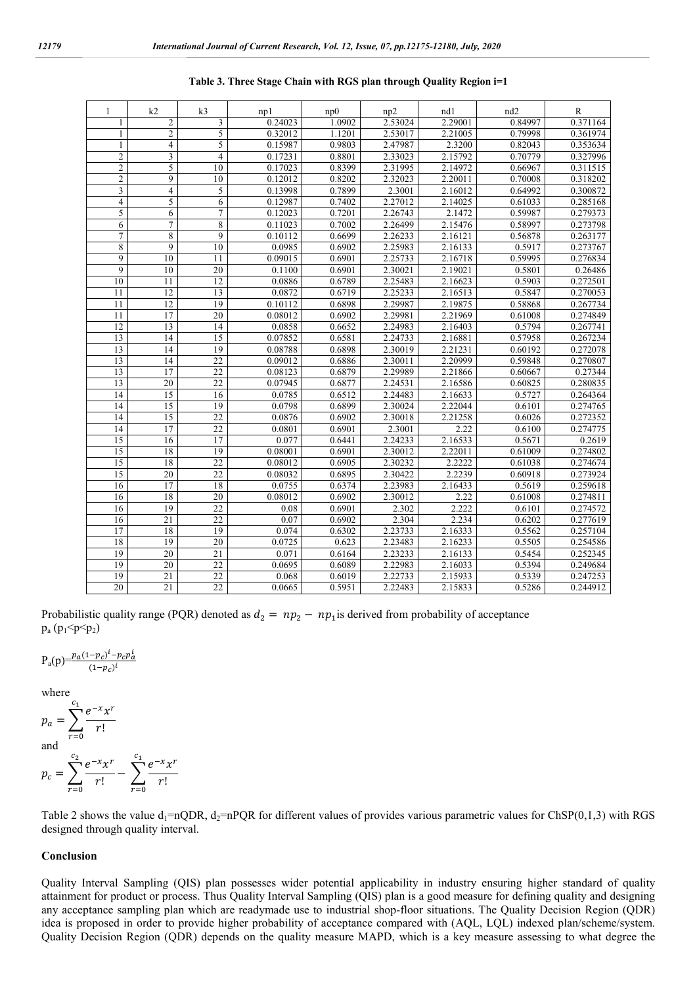| 1               | k <sub>2</sub>          | k <sub>3</sub>  | np1     | np0    | np2     | nd1     | nd <sub>2</sub>      | $\mathbb{R}$ |
|-----------------|-------------------------|-----------------|---------|--------|---------|---------|----------------------|--------------|
| 1               | $\mathfrak{2}$          | 3               | 0.24023 | 1.0902 | 2.53024 | 2.29001 | 0.84997              | 0.371164     |
| 1               | $\overline{2}$          | 5               | 0.32012 | 1.1201 | 2.53017 | 2.21005 | 0.79998              | 0.361974     |
| 1               | 4                       | 5               | 0.15987 | 0.9803 | 2.47987 | 2.3200  | 0.82043              | 0.353634     |
| $\overline{c}$  | $\overline{\mathbf{3}}$ | $\overline{4}$  | 0.17231 | 0.8801 | 2.33023 | 2.15792 | 0.70779              | 0.327996     |
| $\overline{c}$  | 5                       | 10              | 0.17023 | 0.8399 | 2.31995 | 2.14972 | 0.66967              | 0.311515     |
| $\overline{c}$  | $\overline{9}$          | 10              | 0.12012 | 0.8202 | 2.32023 | 2.20011 | 0.70008              | 0.318202     |
| 3               | $\overline{\mathbf{4}}$ | 5               | 0.13998 | 0.7899 | 2.3001  | 2.16012 | 0.64992              | 0.300872     |
| $\overline{4}$  | 5                       | 6               | 0.12987 | 0.7402 | 2.27012 | 2.14025 | 0.61033              | 0.285168     |
| 5               | 6                       | 7               | 0.12023 | 0.7201 | 2.26743 | 2.1472  | 0.59987              | 0.279373     |
| $\overline{6}$  | 7                       | 8               | 0.11023 | 0.7002 | 2.26499 | 2.15476 | 0.58997              | 0.273798     |
| $\overline{7}$  | 8                       | 9               | 0.10112 | 0.6699 | 2.26233 | 2.16121 | 0.56878              | 0.263177     |
| 8               | 9                       | 10              | 0.0985  | 0.6902 | 2.25983 | 2.16133 | 0.5917               | 0.273767     |
| 9               | 10                      | 11              | 0.09015 | 0.6901 | 2.25733 | 2.16718 | 0.59995              | 0.276834     |
| 9               | 10                      | $\overline{20}$ | 0.1100  | 0.6901 | 2.30021 | 2.19021 | 0.5801               | 0.26486      |
| 10              | 11                      | 12              | 0.0886  | 0.6789 | 2.25483 | 2.16623 | 0.5903               | 0.272501     |
| 11              | 12                      | 13              | 0.0872  | 0.6719 | 2.25233 | 2.16513 | 0.5847               | 0.270053     |
| 11              | 12                      | 19              | 0.10112 | 0.6898 | 2.29987 | 2.19875 | 0.58868              | 0.267734     |
| $\overline{11}$ | 17                      | 20              | 0.08012 | 0.6902 | 2.29981 | 2.21969 | 0.61008              | 0.274849     |
| 12              | 13                      | 14              | 0.0858  | 0.6652 | 2.24983 | 2.16403 | 0.5794               | 0.267741     |
| 13              | 14                      | 15              | 0.07852 | 0.6581 | 2.24733 | 2.16881 | 0.57958              | 0.267234     |
| 13              | 14                      | 19              | 0.08788 | 0.6898 | 2.30019 | 2.21231 | $0.\overline{60192}$ | 0.272078     |
| 13              | 14                      | 22              | 0.09012 | 0.6886 | 2.30011 | 2.20999 | 0.59848              | 0.270807     |
| 13              | 17                      | 22              | 0.08123 | 0.6879 | 2.29989 | 2.21866 | 0.60667              | 0.27344      |
| 13              | $\overline{20}$         | $\overline{22}$ | 0.07945 | 0.6877 | 2.24531 | 2.16586 | 0.60825              | 0.280835     |
| 14              | 15                      | 16              | 0.0785  | 0.6512 | 2.24483 | 2.16633 | 0.5727               | 0.264364     |
| 14              | $\overline{15}$         | 19              | 0.0798  | 0.6899 | 2.30024 | 2.22044 | 0.6101               | 0.274765     |
| 14              | 15                      | 22              | 0.0876  | 0.6902 | 2.30018 | 2.21258 | 0.6026               | 0.272352     |
| 14              | 17                      | $\overline{22}$ | 0.0801  | 0.6901 | 2.3001  | 2.22    | 0.6100               | 0.274775     |
| 15              | 16                      | 17              | 0.077   | 0.6441 | 2.24233 | 2.16533 | 0.5671               | 0.2619       |
| 15              | 18                      | 19              | 0.08001 | 0.6901 | 2.30012 | 2.22011 | 0.61009              | 0.274802     |
| $\overline{15}$ | 18                      | 22              | 0.08012 | 0.6905 | 2.30232 | 2.2222  | 0.61038              | 0.274674     |
| $\overline{15}$ | $\overline{20}$         | $\overline{22}$ | 0.08032 | 0.6895 | 2.30422 | 2.2239  | 0.60918              | 0.273924     |
| 16              | 17                      | 18              | 0.0755  | 0.6374 | 2.23983 | 2.16433 | 0.5619               | 0.259618     |
| 16              | 18                      | 20              | 0.08012 | 0.6902 | 2.30012 | 2.22    | 0.61008              | 0.274811     |
| 16              | 19                      | 22              | 0.08    | 0.6901 | 2.302   | 2.222   | 0.6101               | 0.274572     |
| 16              | $\overline{21}$         | $\overline{22}$ | 0.07    | 0.6902 | 2.304   | 2.234   | 0.6202               | 0.277619     |
| 17              | 18                      | 19              | 0.074   | 0.6302 | 2.23733 | 2.16333 | 0.5562               | 0.257104     |
| 18              | 19                      | $\overline{20}$ | 0.0725  | 0.623  | 2.23483 | 2.16233 | 0.5505               | 0.254586     |
| 19              | 20                      | $\overline{21}$ | 0.071   | 0.6164 | 2.23233 | 2.16133 | 0.5454               | 0.252345     |
| 19              | 20                      | 22              | 0.0695  | 0.6089 | 2.22983 | 2.16033 | 0.5394               | 0.249684     |
| 19              | $\overline{21}$         | $\overline{22}$ | 0.068   | 0.6019 | 2.22733 | 2.15933 | 0.5339               | 0.247253     |
| 20              | $\overline{21}$         | 22              | 0.0665  | 0.5951 | 2.22483 | 2.15833 | 0.5286               | 0.244912     |

**Table 3. Three Stage Chain with RGS plan through Quality Region i=1**

Probabilistic quality range (PQR) denoted as  $d_2 = np_2 - np_1$  is derived from probability of acceptance  $p_a (p_1 \le p \le p_2)$ 

$$
P_a(p) = \frac{p_a(1-p_c)^i - p_c p_a^i}{(1-p_c)^i}
$$

where

$$
p_a = \sum_{r=0}^{c_1} \frac{e^{-x} x^r}{r!}
$$
  
and  

$$
p_c = \sum_{r=0}^{c_2} \frac{e^{-x} x^r}{r!} - \sum_{r=0}^{c_1} \frac{e^{-x} x^r}{r!}
$$

 $r = 0$ 

Table 2 shows the value  $d_1$ =nQDR,  $d_2$ =nPQR for different values of provides various parametric values for ChSP(0,1,3) with RGS designed through quality interval.

#### **Conclusion**

Quality Interval Sampling (QIS) plan possesses wider potential applicability in industry ensuring higher standard of quality attainment for product or process. Thus Quality Interval Sampling (QIS) plan is a good measure for defining quality and designing any acceptance sampling plan which are readymade use to industrial shop-floor situations. The Quality Decision Region (QDR) idea is proposed in order to provide higher probability of acceptance compared with (AQL, LQL) indexed plan/scheme/system. Quality Decision Region (QDR) depends on the quality measure MAPD, which is a key measure assessing to what degree the